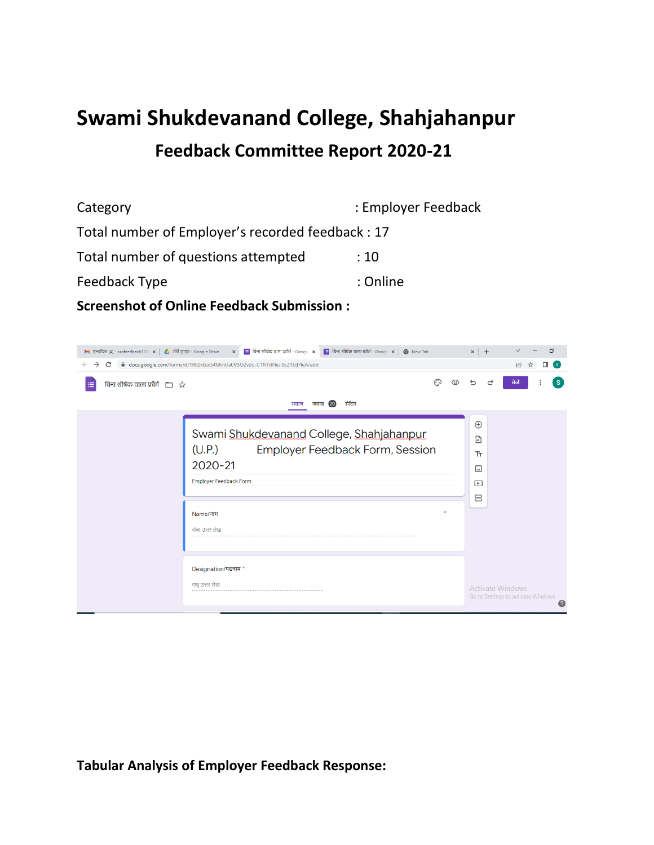## **Swami Shukdevanand College, Shahjahanpur Feedback Committee Report 2020-21**

Category **Employer Feedback** : Employer Feedback Total number of Employer's recorded feedback : 17 Total number of questions attempted : 10 Feedback Type in the set of the set of the set of the set of the set of the set of the set of the set of the set of the set of the set of the set of the set of the set of the set of the set of the set of the set of the set

**Screenshot of Online Feedback Submission :**

| M इनबॉक्स (4) - sscfeedback123 ( $\times$   A) मेरी ड्राइव - Google Drive | <b>हैं।</b> बिना शीर्षक वाला फ़ॉर्म - Google $x \mid \mathcal{Q}$ New Tab<br>$x = \frac{1}{10}$ बिना शीर्षक वाला फ़ॉर्म - Google $x =$                          |        | $x$ +                                                                     | O                                        |
|---------------------------------------------------------------------------|-----------------------------------------------------------------------------------------------------------------------------------------------------------------|--------|---------------------------------------------------------------------------|------------------------------------------|
| C<br>$\rightarrow$<br>$\leftarrow$                                        | ■ docs.google.com/forms/d/1l8l2kGuG4GKnUa0VSO2v2o-C1NTtfHeJi8c2TEd7leA/edit                                                                                     |        |                                                                           | $\overrightarrow{P}$<br>s.<br>☆          |
| बिना शीर्षक वाला फ़ॉर्म $\Box \quad \Diamond$<br>⊫                        | सेटिंग<br>जवाब 20<br>सवाल                                                                                                                                       | ಾ<br>⊚ | ⇆<br>♂                                                                    | S.<br>ਮੇजें                              |
|                                                                           | Swami Shukdevanand College, Shahjahanpur<br>(U.P.)<br>Employer Feedback Form, Session<br>2020-21<br><b>Employer Feedback Form</b><br>Name/नाम<br>लंबा उत्तर लेख | ×      | $\bigoplus$<br>$\mathbf{B}$<br>Tr<br>$\Box$<br>$\blacktriangleright$<br>吕 |                                          |
|                                                                           | Designation/पदनाम*<br>लघु उत्तर लेख                                                                                                                             |        | <b>Activate Windows</b>                                                   | Go to Settings to activate Windows.<br>ℯ |

**Tabular Analysis of Employer Feedback Response:**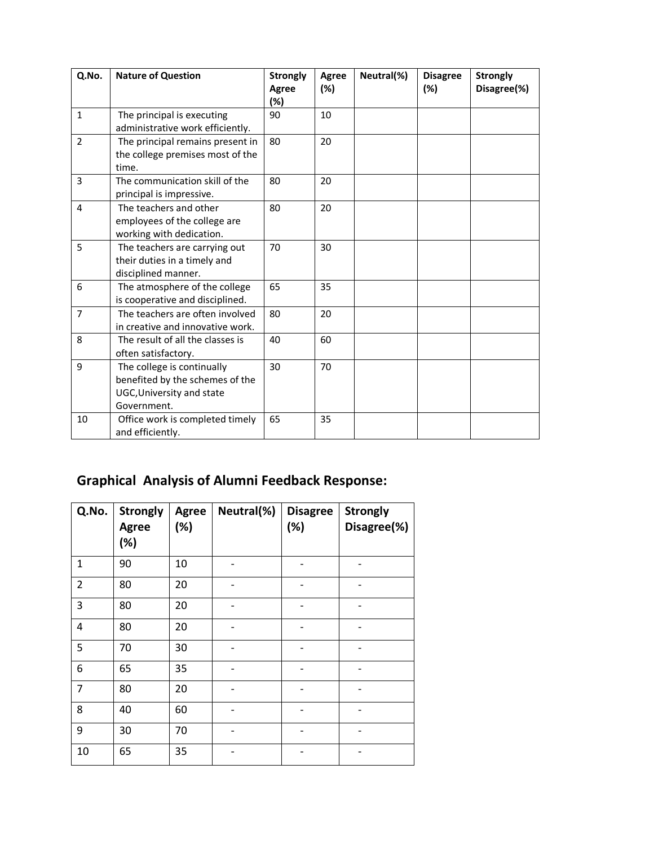| Q.No.          | <b>Nature of Question</b>                                                                                 | <b>Strongly</b><br>Agree<br>(%) | Agree<br>$(\%)$ | Neutral(%) | <b>Disagree</b><br>(%) | <b>Strongly</b><br>Disagree(%) |
|----------------|-----------------------------------------------------------------------------------------------------------|---------------------------------|-----------------|------------|------------------------|--------------------------------|
| $\mathbf{1}$   | The principal is executing<br>administrative work efficiently.                                            | 90                              | 10              |            |                        |                                |
| $\overline{2}$ | The principal remains present in<br>the college premises most of the<br>time.                             | 80                              | 20              |            |                        |                                |
| $\overline{3}$ | The communication skill of the<br>principal is impressive.                                                | 80                              | 20              |            |                        |                                |
| 4              | The teachers and other<br>employees of the college are<br>working with dedication.                        | 80                              | 20              |            |                        |                                |
| 5              | The teachers are carrying out<br>their duties in a timely and<br>disciplined manner.                      | 70                              | 30              |            |                        |                                |
| 6              | The atmosphere of the college<br>is cooperative and disciplined.                                          | 65                              | 35              |            |                        |                                |
| $\overline{7}$ | The teachers are often involved<br>in creative and innovative work.                                       | 80                              | 20              |            |                        |                                |
| 8              | The result of all the classes is<br>often satisfactory.                                                   | 40                              | 60              |            |                        |                                |
| 9              | The college is continually<br>benefited by the schemes of the<br>UGC, University and state<br>Government. | 30                              | 70              |            |                        |                                |
| 10             | Office work is completed timely<br>and efficiently.                                                       | 65                              | 35              |            |                        |                                |

## **Graphical Analysis of Alumni Feedback Response:**

| Q.No.          | <b>Strongly</b><br><b>Agree</b><br>(%) | <b>Agree</b><br>(%) | Neutral(%) | <b>Disagree</b><br>(%) | <b>Strongly</b><br>Disagree(%) |
|----------------|----------------------------------------|---------------------|------------|------------------------|--------------------------------|
| $\mathbf 1$    | 90                                     | 10                  |            |                        |                                |
| $\overline{2}$ | 80                                     | 20                  |            |                        |                                |
| 3              | 80                                     | 20                  |            |                        |                                |
| 4              | 80                                     | 20                  |            |                        |                                |
| 5              | 70                                     | 30                  |            |                        |                                |
| 6              | 65                                     | 35                  |            |                        |                                |
| $\overline{7}$ | 80                                     | 20                  |            |                        |                                |
| 8              | 40                                     | 60                  |            |                        |                                |
| 9              | 30                                     | 70                  |            |                        |                                |
| 10             | 65                                     | 35                  |            |                        |                                |